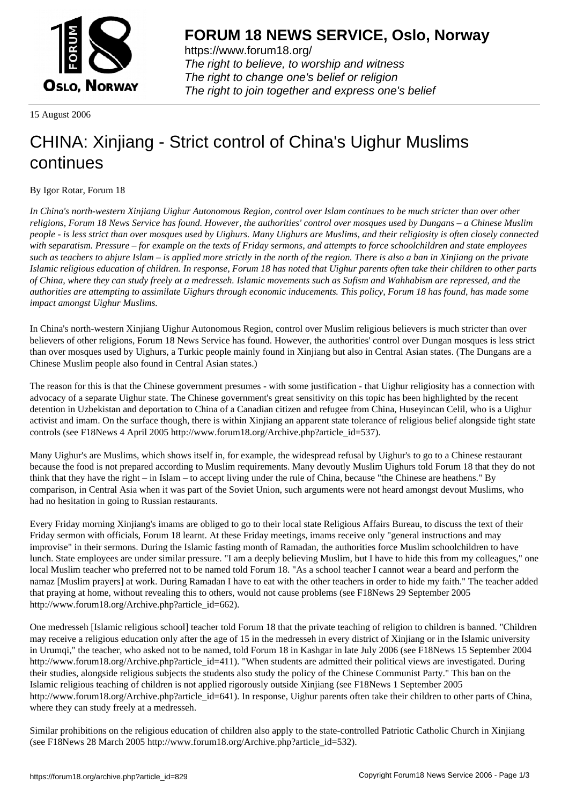

https://www.forum18.org/ The right to believe, to worship and witness The right to change one's belief or religion [The right to join together a](https://www.forum18.org/)nd express one's belief

15 August 2006

## [CHINA: Xinjiang](https://www.forum18.org) - Strict control of China's Uighur Muslims continues

By Igor Rotar, Forum 18

*In China's north-western Xinjiang Uighur Autonomous Region, control over Islam continues to be much stricter than over other religions, Forum 18 News Service has found. However, the authorities' control over mosques used by Dungans – a Chinese Muslim people - is less strict than over mosques used by Uighurs. Many Uighurs are Muslims, and their religiosity is often closely connected with separatism. Pressure – for example on the texts of Friday sermons, and attempts to force schoolchildren and state employees such as teachers to abjure Islam – is applied more strictly in the north of the region. There is also a ban in Xinjiang on the private Islamic religious education of children. In response, Forum 18 has noted that Uighur parents often take their children to other parts of China, where they can study freely at a medresseh. Islamic movements such as Sufism and Wahhabism are repressed, and the authorities are attempting to assimilate Uighurs through economic inducements. This policy, Forum 18 has found, has made some impact amongst Uighur Muslims.*

In China's north-western Xinjiang Uighur Autonomous Region, control over Muslim religious believers is much stricter than over believers of other religions, Forum 18 News Service has found. However, the authorities' control over Dungan mosques is less strict than over mosques used by Uighurs, a Turkic people mainly found in Xinjiang but also in Central Asian states. (The Dungans are a Chinese Muslim people also found in Central Asian states.)

The reason for this is that the Chinese government presumes - with some justification - that Uighur religiosity has a connection with advocacy of a separate Uighur state. The Chinese government's great sensitivity on this topic has been highlighted by the recent detention in Uzbekistan and deportation to China of a Canadian citizen and refugee from China, Huseyincan Celil, who is a Uighur activist and imam. On the surface though, there is within Xinjiang an apparent state tolerance of religious belief alongside tight state controls (see F18News 4 April 2005 http://www.forum18.org/Archive.php?article\_id=537).

Many Uighur's are Muslims, which shows itself in, for example, the widespread refusal by Uighur's to go to a Chinese restaurant because the food is not prepared according to Muslim requirements. Many devoutly Muslim Uighurs told Forum 18 that they do not think that they have the right – in Islam – to accept living under the rule of China, because "the Chinese are heathens." By comparison, in Central Asia when it was part of the Soviet Union, such arguments were not heard amongst devout Muslims, who had no hesitation in going to Russian restaurants.

Every Friday morning Xinjiang's imams are obliged to go to their local state Religious Affairs Bureau, to discuss the text of their Friday sermon with officials, Forum 18 learnt. At these Friday meetings, imams receive only "general instructions and may improvise" in their sermons. During the Islamic fasting month of Ramadan, the authorities force Muslim schoolchildren to have lunch. State employees are under similar pressure. "I am a deeply believing Muslim, but I have to hide this from my colleagues," one local Muslim teacher who preferred not to be named told Forum 18. "As a school teacher I cannot wear a beard and perform the namaz [Muslim prayers] at work. During Ramadan I have to eat with the other teachers in order to hide my faith." The teacher added that praying at home, without revealing this to others, would not cause problems (see F18News 29 September 2005 http://www.forum18.org/Archive.php?article\_id=662).

One medresseh [Islamic religious school] teacher told Forum 18 that the private teaching of religion to children is banned. "Children may receive a religious education only after the age of 15 in the medresseh in every district of Xinjiang or in the Islamic university in Urumqi," the teacher, who asked not to be named, told Forum 18 in Kashgar in late July 2006 (see F18News 15 September 2004 http://www.forum18.org/Archive.php?article\_id=411). "When students are admitted their political views are investigated. During their studies, alongside religious subjects the students also study the policy of the Chinese Communist Party." This ban on the Islamic religious teaching of children is not applied rigorously outside Xinjiang (see F18News 1 September 2005 http://www.forum18.org/Archive.php?article\_id=641). In response, Uighur parents often take their children to other parts of China, where they can study freely at a medresseh.

Similar prohibitions on the religious education of children also apply to the state-controlled Patriotic Catholic Church in Xinjiang (see F18News 28 March 2005 http://www.forum18.org/Archive.php?article\_id=532).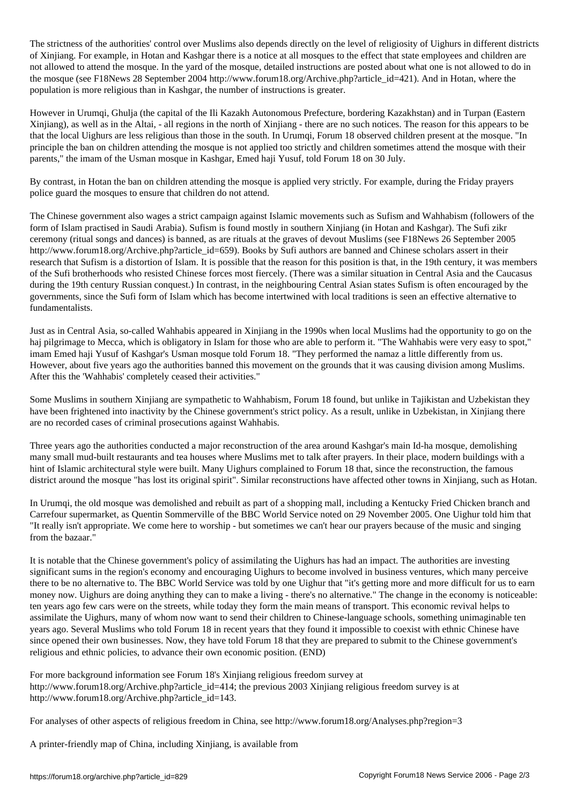The strict nesterial over Muslims also depends directly on the level of religiosity of  $U$ of Xinjiang. For example, in Hotan and Kashgar there is a notice at all mosques to the effect that state employees and children are not allowed to attend the mosque. In the yard of the mosque, detailed instructions are posted about what one is not allowed to do in the mosque (see F18News 28 September 2004 http://www.forum18.org/Archive.php?article\_id=421). And in Hotan, where the population is more religious than in Kashgar, the number of instructions is greater.

However in Urumqi, Ghulja (the capital of the Ili Kazakh Autonomous Prefecture, bordering Kazakhstan) and in Turpan (Eastern Xinjiang), as well as in the Altai, - all regions in the north of Xinjiang - there are no such notices. The reason for this appears to be that the local Uighurs are less religious than those in the south. In Urumqi, Forum 18 observed children present at the mosque. "In principle the ban on children attending the mosque is not applied too strictly and children sometimes attend the mosque with their parents," the imam of the Usman mosque in Kashgar, Emed haji Yusuf, told Forum 18 on 30 July.

By contrast, in Hotan the ban on children attending the mosque is applied very strictly. For example, during the Friday prayers police guard the mosques to ensure that children do not attend.

The Chinese government also wages a strict campaign against Islamic movements such as Sufism and Wahhabism (followers of the form of Islam practised in Saudi Arabia). Sufism is found mostly in southern Xinjiang (in Hotan and Kashgar). The Sufi zikr ceremony (ritual songs and dances) is banned, as are rituals at the graves of devout Muslims (see F18News 26 September 2005 http://www.forum18.org/Archive.php?article\_id=659). Books by Sufi authors are banned and Chinese scholars assert in their research that Sufism is a distortion of Islam. It is possible that the reason for this position is that, in the 19th century, it was members of the Sufi brotherhoods who resisted Chinese forces most fiercely. (There was a similar situation in Central Asia and the Caucasus during the 19th century Russian conquest.) In contrast, in the neighbouring Central Asian states Sufism is often encouraged by the governments, since the Sufi form of Islam which has become intertwined with local traditions is seen an effective alternative to fundamentalists.

Just as in Central Asia, so-called Wahhabis appeared in Xinjiang in the 1990s when local Muslims had the opportunity to go on the haj pilgrimage to Mecca, which is obligatory in Islam for those who are able to perform it. "The Wahhabis were very easy to spot," imam Emed haji Yusuf of Kashgar's Usman mosque told Forum 18. "They performed the namaz a little differently from us. However, about five years ago the authorities banned this movement on the grounds that it was causing division among Muslims. After this the 'Wahhabis' completely ceased their activities."

Some Muslims in southern Xinjiang are sympathetic to Wahhabism, Forum 18 found, but unlike in Tajikistan and Uzbekistan they have been frightened into inactivity by the Chinese government's strict policy. As a result, unlike in Uzbekistan, in Xinjiang there are no recorded cases of criminal prosecutions against Wahhabis.

Three years ago the authorities conducted a major reconstruction of the area around Kashgar's main Id-ha mosque, demolishing many small mud-built restaurants and tea houses where Muslims met to talk after prayers. In their place, modern buildings with a hint of Islamic architectural style were built. Many Uighurs complained to Forum 18 that, since the reconstruction, the famous district around the mosque "has lost its original spirit". Similar reconstructions have affected other towns in Xinjiang, such as Hotan.

In Urumqi, the old mosque was demolished and rebuilt as part of a shopping mall, including a Kentucky Fried Chicken branch and Carrefour supermarket, as Quentin Sommerville of the BBC World Service noted on 29 November 2005. One Uighur told him that "It really isn't appropriate. We come here to worship - but sometimes we can't hear our prayers because of the music and singing from the bazaar."

It is notable that the Chinese government's policy of assimilating the Uighurs has had an impact. The authorities are investing significant sums in the region's economy and encouraging Uighurs to become involved in business ventures, which many perceive there to be no alternative to. The BBC World Service was told by one Uighur that "it's getting more and more difficult for us to earn money now. Uighurs are doing anything they can to make a living - there's no alternative." The change in the economy is noticeable: ten years ago few cars were on the streets, while today they form the main means of transport. This economic revival helps to assimilate the Uighurs, many of whom now want to send their children to Chinese-language schools, something unimaginable ten years ago. Several Muslims who told Forum 18 in recent years that they found it impossible to coexist with ethnic Chinese have since opened their own businesses. Now, they have told Forum 18 that they are prepared to submit to the Chinese government's religious and ethnic policies, to advance their own economic position. (END)

For more background information see Forum 18's Xinjiang religious freedom survey at http://www.forum18.org/Archive.php?article\_id=414; the previous 2003 Xinjiang religious freedom survey is at http://www.forum18.org/Archive.php?article\_id=143.

For analyses of other aspects of religious freedom in China, see http://www.forum18.org/Analyses.php?region=3

A printer-friendly map of China, including Xinjiang, is available from